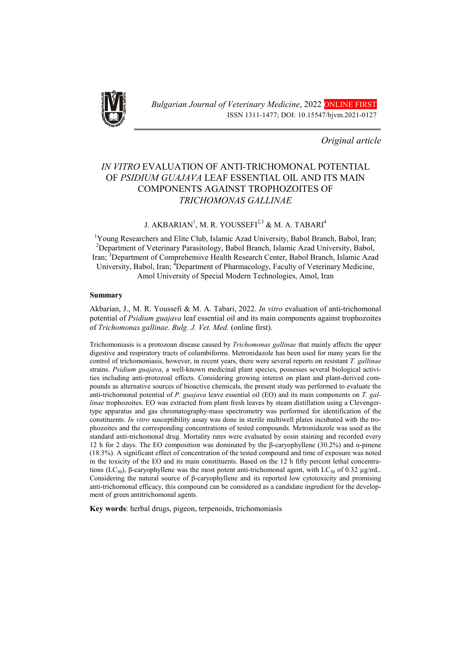

*Original article*

# *IN VITRO* EVALUATION OF ANTI-TRICHOMONAL POTENTIAL OF *PSIDIUM GUAJAVA* LEAF ESSENTIAL OIL AND ITS MAIN COMPONENTS AGAINST TROPHOZOITES OF *TRICHOMONAS GALLINAE*

# J. AKBARIAN<sup>1</sup>, M. R. YOUSSEFI $^{2,3}$  & M. A. TABARI $^4$

<sup>1</sup>Young Researchers and Elite Club, Islamic Azad University, Babol Branch, Babol, Iran;<br><sup>2</sup>Department of Veterinary Barasitology, Babol Branch, Jalamic Azad University, Babol <sup>2</sup>Department of Veterinary Parasitology, Babol Branch, Islamic Azad University, Babol, Iran; <sup>3</sup>Department of Comprehensive Health Research Center, Babol Branch, Islamic Azad University, Babol, Iran; <sup>4</sup>Department of Pharmacology, Faculty of Veterinary Medicine, Amol University of Special Modern Technologies, Amol, Iran

#### Summary

Akbarian, J., M. R. Youssefi & M. A. Tabari, 2022. *In vitro* evaluation of anti-trichomonal potential of *Psidium guajava* leaf essential oil and its main components against trophozoites of *Trichomonas gallinae. Bulg. J. Vet. Med.* (online first).

Trichomoniasis is a protozoan disease caused by *Trichomonas gallinae* that mainly affects the upper digestive and respiratory tracts of columbiforms. Metronidazole has been used for many years for the control of trichomoniasis, however, in recent years, there were several reports on resistant *T. gallinae* strains. *Psidium guajava*, a well-known medicinal plant species, possesses several biological activities including anti-protozoal effects. Considering growing interest on plant and plant-derived compounds as alternative sources of bioactive chemicals, the present study was performed to evaluate the anti-trichomonal potential of *P. guajava* leave essential oil (EO) and its main components on *T. gallinae* trophozoites. EO was extracted from plant fresh leaves by steam distillation using a Clevengertype apparatus and gas chromatography-mass spectrometry was performed for identification of the constituents. *In vitro* susceptibility assay was done in sterile multiwell plates incubated with the trophozoites and the corresponding concentrations of tested compounds. Metronidazole was used as the standard anti-trichomonal drug. Mortality rates were evaluated by eosin staining and recorded every 12 h for 2 days. The EO composition was dominated by the β-caryophyllene (30.2%) and α-pinene (18.3%). A significant effect of concentration of the tested compound and time of exposure was noted in the toxicity of the EO and its main constituents. Based on the 12 h fifty percent lethal concentrations (LC<sub>50</sub>), β-caryophyllene was the most potent anti-trichomonal agent, with LC<sub>50</sub> of 0.32 μg/mL. Considering the natural source of β-caryophyllene and its reported low cytotoxicity and promising anti-trichomonal efficacy, this compound can be considered as a candidate ingredient for the development of green antitrichomonal agents.

Key words: herbal drugs, pigeon, terpenoids, trichomoniasis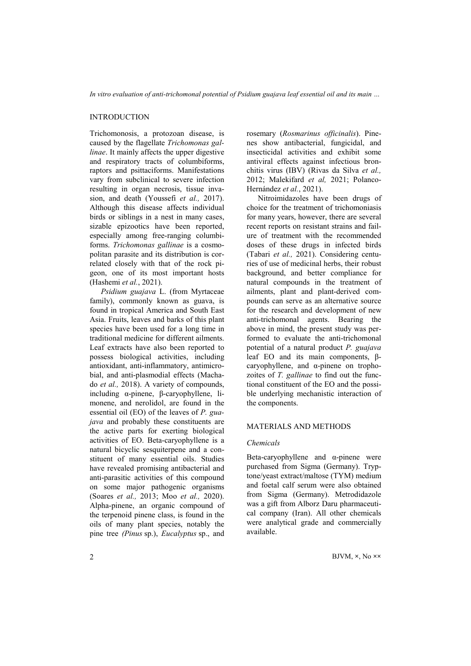# INTRODUCTION

Trichomonosis, a protozoan disease, is caused by the flagellate *Trichomonas gallinae*. It mainly affects the upper digestive and respiratory tracts of columbiforms, raptors and psittaciforms. Manifestations vary from subclinical to severe infection resulting in organ necrosis, tissue invasion, and death (Youssefi *et al.,* 2017). Although this disease affects individual birds or siblings in a nest in many cases, sizable epizootics have been reported, especially among free-ranging columbiforms. *Trichomonas gallinae* is a cosmopolitan parasite and its distribution is correlated closely with that of the rock pigeon, one of its most important hosts (Hashemi *et al.*, 2021).

*Psidium guajava* L. (from Myrtaceae family), commonly known as guava, is found in tropical America and South East Asia. Fruits, leaves and barks of this plant species have been used for a long time in traditional medicine for different ailments. Leaf extracts have also been reported to possess biological activities, including antioxidant, anti-inflammatory, antimicrobial, and anti-plasmodial effects (Machado *et al.,* 2018). A variety of compounds, including α-pinene, β-caryophyllene, limonene, and nerolidol, are found in the essential oil (EO) of the leaves of *P. guajava* and probably these constituents are the active parts for exerting biological activities of EO. Beta-caryophyllene is a natural bicyclic sesquiterpene and a constituent of many essential oils. Studies have revealed promising antibacterial and anti-parasitic activities of this compound on some major pathogenic organisms (Soares *et al.,* 2013; Moo *et al.,* 2020). Alpha-pinene, an organic compound of the terpenoid pinene class, is found in the oils of many plant species, notably the pine tree *(Pinus* sp.), *Eucalyptus* sp., and

rosemary (*Rosmarinus officinalis*). Pinenes show antibacterial, fungicidal, and insecticidal activities and exhibit some antiviral effects against infectious bronchitis virus (IBV) (Rivas da Silva *et al.,* 2012; Malekifard *et al,* 2021; Polanco-Hernández *et al.*, 2021).

Nitroimidazoles have been drugs of choice for the treatment of trichomoniasis for many years, however, there are several recent reports on resistant strains and failure of treatment with the recommended doses of these drugs in infected birds (Tabari *et al.,* 2021). Considering centuries of use of medicinal herbs, their robust background, and better compliance for natural compounds in the treatment of ailments, plant and plant-derived compounds can serve as an alternative source for the research and development of new anti-trichomonal agents. Bearing the above in mind, the present study was performed to evaluate the anti-trichomonal potential of a natural product *P. guajava* leaf EO and its main components, βcaryophyllene, and α-pinene on trophozoites of *T. gallinae* to find out the functional constituent of the EO and the possible underlying mechanistic interaction of the components.

### MATERIALS AND METHODS

#### *Chemicals*

Beta-caryophyllene and  $\alpha$ -pinene were purchased from Sigma (Germany). Tryptone/yeast extract/maltose (TYM) medium and foetal calf serum were also obtained from Sigma (Germany). Metrodidazole was a gift from Alborz Daru pharmaceutical company (Iran). All other chemicals were analytical grade and commercially available.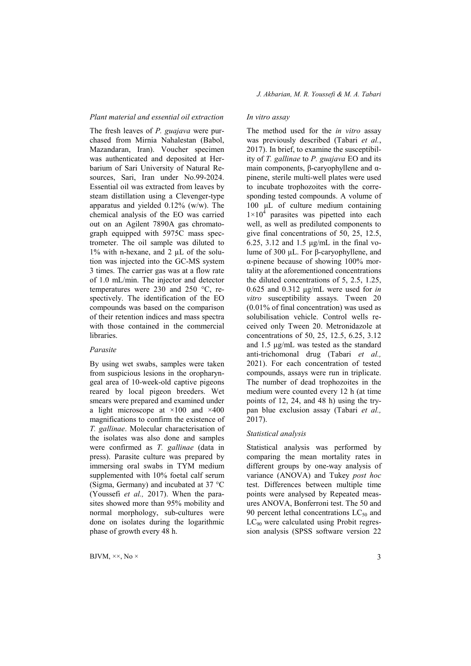#### *Plant material and essential oil extraction*

The fresh leaves of *P. guajava* were purchased from Mirnia Nahalestan (Babol, Mazandaran, Iran). Voucher specimen was authenticated and deposited at Herbarium of Sari University of Natural Resources, Sari, Iran under No.99-2024. Essential oil was extracted from leaves by steam distillation using a Clevenger-type apparatus and yielded 0.12% (w/w). The chemical analysis of the EO was carried out on an Agilent 7890A gas chromatograph equipped with 5975C mass spectrometer. The oil sample was diluted to 1% with n-hexane, and 2 µL of the solution was injected into the GC-MS system 3 times. The carrier gas was at a flow rate of 1.0 mL/min. The injector and detector temperatures were 230 and 250 °C, respectively. The identification of the EO compounds was based on the comparison of their retention indices and mass spectra with those contained in the commercial libraries.

#### *Parasite*

By using wet swabs, samples were taken from suspicious lesions in the oropharyngeal area of 10-week-old captive pigeons reared by local pigeon breeders. Wet smears were prepared and examined under a light microscope at  $\times 100$  and  $\times 400$ magnifications to confirm the existence of *T. gallinae*. Molecular characterisation of the isolates was also done and samples were confirmed as *T. gallinae* (data in press). Parasite culture was prepared by immersing oral swabs in TYM medium supplemented with 10% foetal calf serum (Sigma, Germany) and incubated at 37 °C (Youssefi *et al.,* 2017). When the parasites showed more than 95% mobility and normal morphology, sub-cultures were done on isolates during the logarithmic phase of growth every 48 h.

# *In vitro assay*

The method used for the *in vitro* assay was previously described (Tabari *et al.*, 2017). In brief, to examine the susceptibility of *T. gallinae* to *P. guajava* EO and its main components, β-caryophyllene and αpinene, sterile multi-well plates were used to incubate trophozoites with the corresponding tested compounds. A volume of 100 μL of culture medium containing  $1\times10^4$  parasites was pipetted into each well, as well as prediluted components to give final concentrations of 50, 25, 12.5, 6.25, 3.12 and 1.5 μg/mL in the final volume of 300 μL. For β-caryophyllene, and α-pinene because of showing 100% mortality at the aforementioned concentrations the diluted concentrations of 5, 2.5, 1.25, 0.625 and 0.312 μg/mL were used for *in vitro* susceptibility assays. Tween 20 (0.01% of final concentration) was used as solubilisation vehicle. Control wells received only Tween 20. Metronidazole at concentrations of 50, 25, 12.5, 6.25, 3.12 and 1.5 μg/mL was tested as the standard anti-trichomonal drug (Tabari *et al.,* 2021). For each concentration of tested compounds, assays were run in triplicate. The number of dead trophozoites in the medium were counted every 12 h (at time points of 12, 24, and 48 h) using the trypan blue exclusion assay (Tabari *et al.,* 2017).

# *Statistical analysis*

Statistical analysis was performed by comparing the mean mortality rates in different groups by one-way analysis of variance (ANOVA) and Tukey *post hoc* test. Differences between multiple time points were analysed by Repeated measures ANOVA, Bonferroni test. The 50 and 90 percent lethal concentrations  $LC_{50}$  and  $LC_{90}$  were calculated using Probit regression analysis (SPSS software version 22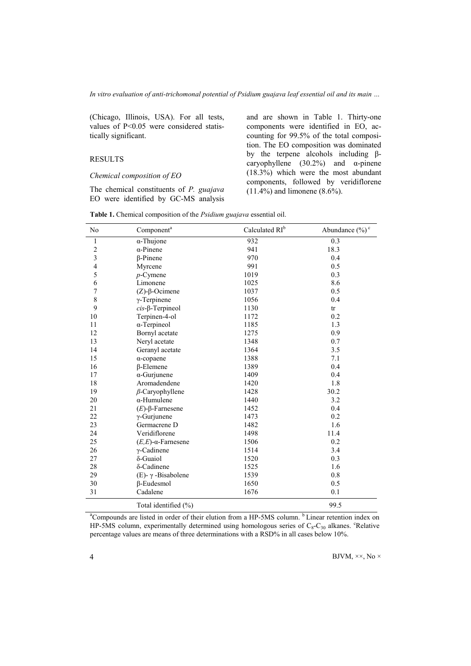(Chicago, Illinois, USA). For all tests, values of P<0.05 were considered statistically significant.

# RESULTS

#### *Chemical composition of EO*

The chemical constituents of *P. guajava* EO were identified by GC-MS analysis and are shown in Table 1. Thirty-one components were identified in EO, accounting for 99.5% of the total composition. The EO composition was dominated by the terpene alcohols including βcaryophyllene (30.2%) and α-pinene (18.3%) which were the most abundant components, followed by veridiflorene (11.4%) and limonene (8.6%).

| No                      | Component <sup>a</sup>        | Calculated RI <sup>b</sup> | Abundance $(\%)^c$ |  |
|-------------------------|-------------------------------|----------------------------|--------------------|--|
| $\mathbf{1}$            | $\alpha$ -Thujone             | 932                        | 0.3                |  |
| $\sqrt{2}$              | $\alpha$ -Pinene              | 941                        | 18.3               |  |
| $\overline{\mathbf{3}}$ | $\beta$ -Pinene               | 970                        | 0.4                |  |
| 4                       | Myrcene                       | 991                        | 0.5                |  |
| 5                       | $p$ -Cymene                   | 1019                       | 0.3                |  |
| 6                       | Limonene                      | 1025                       | 8.6                |  |
| 7                       | $(Z)$ - $\beta$ -Ocimene      | 1037                       | 0.5                |  |
| $\,$ $\,$               | $\gamma$ -Terpinene           | 1056                       | 0.4                |  |
| 9                       | $cis$ - $\beta$ -Terpineol    | 1130                       | tr                 |  |
| 10                      | Terpinen-4-ol                 | 1172                       | 0.2                |  |
| 11                      | $\alpha$ -Terpineol           | 1185                       | 1.3                |  |
| 12                      | Bornyl acetate                | 1275                       | 0.9                |  |
| 13                      | Neryl acetate                 | 1348                       | 0.7                |  |
| 14                      | Geranyl acetate               | 1364                       | 3.5                |  |
| 15                      | $\alpha$ -copaene             | 1388                       | 7.1                |  |
| 16                      | $\beta$ -Elemene              | 1389                       | 0.4                |  |
| 17                      | $\alpha$ -Gurjunene           | 1409                       | 0.4                |  |
| 18                      | Aromadendene                  | 1420                       | 1.8                |  |
| 19                      | $\beta$ -Caryophyllene        | 1428                       | 30.2               |  |
| 20                      | $\alpha$ -Humulene            | 1440                       | 3.2                |  |
| 21                      | $(E)$ -β-Farnesene            | 1452                       | 0.4                |  |
| 22                      | $\gamma$ -Gurjunene           | 1473                       | 0.2                |  |
| 23                      | Germacrene D                  | 1482                       | 1.6                |  |
| 24                      | Veridiflorene                 | 1498                       | 11.4               |  |
| 25                      | $(E,E)$ - $\alpha$ -Farnesene | 1506                       | 0.2                |  |
| 26                      | $\gamma$ -Cadinene            | 1514                       | 3.4                |  |
| 27                      | δ-Guaiol                      | 1520                       | 0.3                |  |
| 28                      | δ-Cadinene                    | 1525                       | 1.6                |  |
| 29                      | (E)- $γ$ -Bisabolene          | 1539                       | 0.8                |  |
| 30                      | $\beta$ -Eudesmol             | 1650                       | 0.5                |  |
| 31                      | Cadalene                      | 1676                       | 0.1                |  |
|                         | Total identified (%)          |                            | 99.5               |  |

Table 1. Chemical composition of the *Psidium guajava* essential oil.

<sup>a</sup>Compounds are listed in order of their elution from a HP-5MS column. <sup>b</sup> Linear retention index on HP-5MS column, experimentally determined using homologous series of  $C_8-C_{30}$  alkanes. <sup>c</sup>Relative percentage values are means of three determinations with a RSD% in all cases below 10%.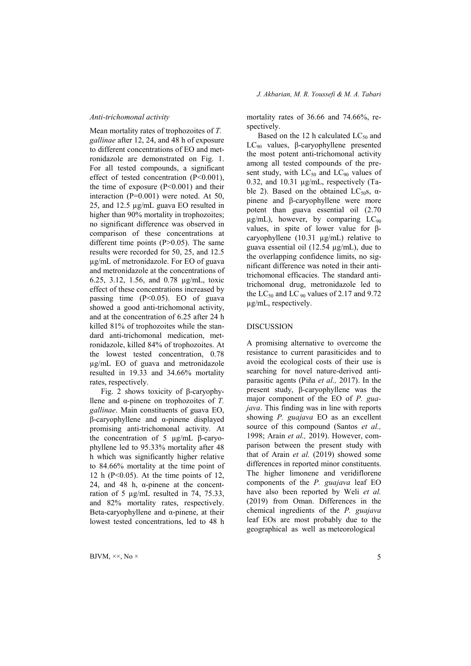*Anti-trichomonal activity*

Mean mortality rates of trophozoites of *T. gallinae* after 12, 24, and 48 h of exposure to different concentrations of EO and metronidazole are demonstrated on Fig. 1. For all tested compounds, a significant effect of tested concentration (P<0.001), the time of exposure  $(P<0.001)$  and their interaction (P=0.001) were noted. At 50, 25, and 12.5 µg/mL guava EO resulted in higher than 90% mortality in trophozoites; no significant difference was observed in comparison of these concentrations at different time points  $(P>0.05)$ . The same results were recorded for 50, 25, and 12.5 µg/mL of metronidazole. For EO of guava and metronidazole at the concentrations of 6.25, 3.12, 1.56, and 0.78 µg/mL, toxic effect of these concentrations increased by passing time (P<0.05). EO of guava showed a good anti-trichomonal activity, and at the concentration of 6.25 after 24 h killed 81% of trophozoites while the standard anti-trichomonal medication, metronidazole, killed 84% of trophozoites. At the lowest tested concentration, 0.78 µg/mL EO of guava and metronidazole resulted in 19.33 and 34.66% mortality rates, respectively.

Fig. 2 shows toxicity of β-caryophyllene and α-pinene on trophozoites of *T. gallinae*. Main constituents of guava EO, β-caryophyllene and α-pinene displayed promising anti-trichomonal activity. At the concentration of 5 µg/mL β-caryophyllene led to 95.33% mortality after 48 h which was significantly higher relative to 84.66% mortality at the time point of 12 h ( $P<0.05$ ). At the time points of 12, 24, and 48 h,  $\alpha$ -pinene at the concentration of 5 µg/mL resulted in 74, 75.33, and 82% mortality rates, respectively. Beta-caryophyllene and  $α$ -pinene, at their lowest tested concentrations, led to 48 h

mortality rates of 36.66 and 74.66%, respectively.

Based on the 12 h calculated  $LC_{50}$  and LC<sub>90</sub> values, β-caryophyllene presented the most potent anti-trichomonal activity among all tested compounds of the present study, with  $LC_{50}$  and  $LC_{90}$  values of 0.32, and 10.31 µg/mL, respectively (Table 2). Based on the obtained LC<sub>50</sub>s,  $\alpha$ pinene and β-caryophyllene were more potent than guava essential oil (2.70  $\mu$ g/mL), however, by comparing LC<sub>90</sub> values, in spite of lower value for βcaryophyllene (10.31 µg/mL) relative to guava essential oil (12.54 µg/mL), due to the overlapping confidence limits, no significant difference was noted in their antitrichomonal efficacies. The standard antitrichomonal drug, metronidazole led to the LC<sub>50</sub> and LC<sub>90</sub> values of 2.17 and 9.72 µg/mL, respectively.

# DISCUSSION

A promising alternative to overcome the resistance to current parasiticides and to avoid the ecological costs of their use is searching for novel nature-derived antiparasitic agents (Piña *et al.,* 2017). In the present study, β-caryophyllene was the major component of the EO of *P. guajava*. This finding was in line with reports showing *P. guajava* EO as an excellent source of this compound (Santos *et al.,* 1998; Arain *et al.,* 2019). However, comparison between the present study with that of Arain *et al.* (2019) showed some differences in reported minor constituents. The higher limonene and veridiflorene components of the *P. guajava* leaf EO have also been reported by Weli *et al.* (2019) from Oman. Differences in the chemical ingredients of the *P. guajava* leaf EOs are most probably due to the geographical as well as meteorological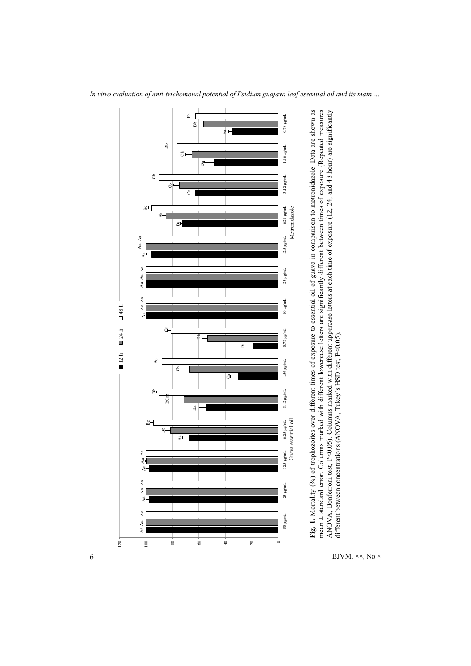

*In vitro evaluation of anti-trichomonal potential of Psidium guajava leaf essential oil and its main …*

different between concentrations (ANOVA, Tukey's HSD test, P<0.05).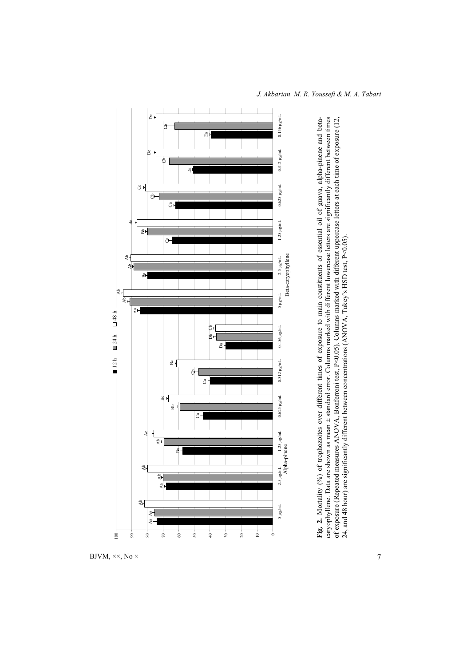

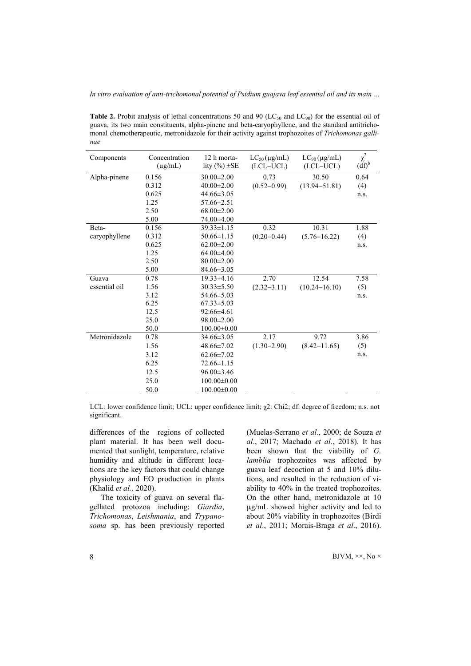Table 2. Probit analysis of lethal concentrations 50 and 90 ( $LC_{50}$  and  $LC_{90}$ ) for the essential oil of guava, its two main constituents, alpha-pinene and beta-caryophyllene, and the standard antitrichomonal chemotherapeutic, metronidazole for their activity against trophozoites of *Trichomonas gallinae*

| Components    | Concentration<br>$(\mu g/mL)$ | 12 h morta-<br>lity $(\% ) \pm SE$ | $LC_{50}$ (µg/mL)<br>(LCL-UCL) | $LC_{90}$ (µg/mL)<br>(LCL-UCL) | $\chi^2$<br>$(df)^b$ |
|---------------|-------------------------------|------------------------------------|--------------------------------|--------------------------------|----------------------|
|               |                               |                                    |                                |                                |                      |
| Alpha-pinene  | 0.156                         | $30.00 \pm 2.00$                   | 0.73                           | 30.50                          | 0.64                 |
|               | 0.312                         | $40.00 \pm 2.00$                   | $(0.52 - 0.99)$                | $(13.94 - 51.81)$              | (4)                  |
|               | 0.625                         | $44.66 \pm 3.05$                   |                                |                                | n.s.                 |
|               | 1.25                          | $57.66 \pm 2.51$                   |                                |                                |                      |
|               | 2.50                          | $68.00 \pm 2.00$                   |                                |                                |                      |
|               | 5.00                          | 74.00 ± 4.00                       |                                |                                |                      |
| Beta-         | 0.156                         | $39.33 \pm 1.15$                   | 0.32                           | 10.31                          | 1.88                 |
| caryophyllene | 0.312                         | $50.66 \pm 1.15$                   | $(0.20 - 0.44)$                | $(5.76 - 16.22)$               | (4)                  |
|               | 0.625                         | $62.00 \pm 2.00$                   |                                |                                | n.s.                 |
|               | 1.25                          | $64.00\pm4.00$                     |                                |                                |                      |
|               | 2.50                          | $80.00 \pm 2.00$                   |                                |                                |                      |
|               | 5.00                          | $84.66 \pm 3.05$                   |                                |                                |                      |
| Guava         | 0.78                          | $19.33 \pm 4.16$                   | 2.70                           | 12.54                          | 7.58                 |
| essential oil | 1.56                          | $30.33 \pm 5.50$                   | $(2.32 - 3.11)$                | $(10.24 - 16.10)$              | (5)                  |
|               | 3.12                          | $54.66 \pm 5.03$                   |                                |                                | n.s.                 |
|               | 6.25                          | $67.33 \pm 5.03$                   |                                |                                |                      |
|               | 12.5                          | $92.66 \pm 4.61$                   |                                |                                |                      |
|               | 25.0                          | $98.00 \pm 2.00$                   |                                |                                |                      |
|               | 50.0                          | $100.00 \pm 0.00$                  |                                |                                |                      |
| Metronidazole | 0.78                          | $34.66 \pm 3.05$                   | 2.17                           | 9.72                           | 3.86                 |
|               | 1.56                          | $48.66 \pm 7.02$                   | $(1.30 - 2.90)$                | $(8.42 - 11.65)$               | (5)                  |
|               | 3.12                          | $62.66 \pm 7.02$                   |                                |                                | n.s.                 |
|               | 6.25                          | $72.66 \pm 1.15$                   |                                |                                |                      |
|               | 12.5                          | $96.00 \pm 3.46$                   |                                |                                |                      |
|               | 25.0                          | $100.00 \pm 0.00$                  |                                |                                |                      |
|               | 50.0                          | $100.00 \pm 0.00$                  |                                |                                |                      |

LCL: lower confidence limit; UCL: upper confidence limit;  $\chi$ 2: Chi2; df: degree of freedom; n.s. not significant.

differences of the regions of collected plant material. It has been well documented that sunlight, temperature, relative humidity and altitude in different locations are the key factors that could change physiology and EO production in plants (Khalid *et al.,* 2020).

The toxicity of guava on several flagellated protozoa including: *Giardia*, *Trichomonas*, *Leishmania*, and *Trypanosoma* sp. has been previously reported (Muelas-Serrano *et al*., 2000; de Souza *et al*., 2017; Machado *et al*., 2018). It has been shown that the viability of *G. lamblia* trophozoites was affected by guava leaf decoction at 5 and 10% dilutions, and resulted in the reduction of viability to 40% in the treated trophozoites. On the other hand, metronidazole at 10 µg/mL showed higher activity and led to about 20% viability in trophozoites (Birdi *et al*., 2011; Morais-Braga *et al*., 2016).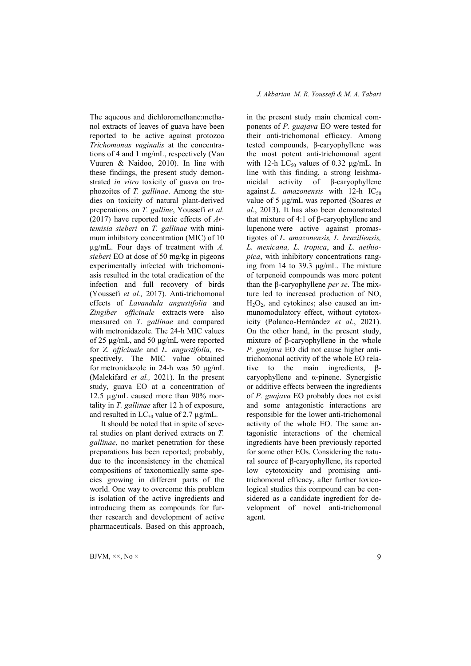The aqueous and dichloromethane:methanol extracts of leaves of guava have been reported to be active against protozoa *Trichomonas vaginalis* at the concentrations of 4 and 1 mg/mL, respectively (Van Vuuren & Naidoo, 2010). In line with these findings, the present study demonstrated *in vitro* toxicity of guava on trophozoites of *T. gallinae*. Among the studies on toxicity of natural plant-derived preperations on *T. galline*, Youssefi *et al.* (2017) have reported toxic effects of *Artemisia sieberi* on *T. gallinae* with minimum inhibitory concentration (MIC) of 10 µg/mL. Four days of treatment with *A. sieberi* EO at dose of 50 mg/kg in pigeons experimentally infected with trichomoniasis resulted in the total eradication of the infection and full recovery of birds (Youssefi *et al.,* 2017). Anti-trichomonal effects of *Lavandula angustifolia* and *Zingiber officinale* extracts were also measured on *T. gallinae* and compared with metronidazole. The 24-h MIC values of 25 μg/mL, and 50 μg/mL were reported for *Z. officinale* and *L. angustifolia,* respectively. The MIC value obtained for metronidazole in 24-h was 50 μg/mL (Malekifard *et al.,* 2021). In the present study, guava EO at a concentration of 12.5 µg/mL caused more than 90% mortality in *T. gallinae* after 12 h of exposure, and resulted in  $LC_{50}$  value of 2.7  $\mu$ g/mL.

It should be noted that in spite of several studies on plant derived extracts on *T. gallinae*, no market penetration for these preparations has been reported; probably, due to the inconsistency in the chemical compositions of taxonomically same species growing in different parts of the world. One way to overcome this problem is isolation of the active ingredients and introducing them as compounds for further research and development of active pharmaceuticals. Based on this approach, in the present study main chemical components of *P. guajava* EO were tested for their anti-trichomonal efficacy. Among tested compounds, β-caryophyllene was the most potent anti-trichomonal agent with 12-h  $LC_{50}$  values of 0.32 μg/mL. In line with this finding, a strong leishmanicidal activity of β-caryophyllene against *L. amazonensis* with 12-h  $IC_{50}$ value of 5 μg/mL was reported (Soares *et al*., 2013). It has also been demonstrated that mixture of 4:1 of β-caryophyllene and lupenone were active against promastigotes of *L. amazonensis, L. braziliensis, L. mexicana, L. tropica*, and *L. aethiopica*, with inhibitory concentrations ranging from 14 to 39.3 μg/mL. The mixture of terpenoid compounds was more potent than the β-caryophyllene *per se*. The mixture led to increased production of NO,  $H_2O_2$ , and cytokines; also caused an immunomodulatory effect, without cytotoxicity (Polanco-Hernández *et al*., 2021). On the other hand, in the present study, mixture of β-caryophyllene in the whole *P. guajava* EO did not cause higher antitrichomonal activity of the whole EO relative to the main ingredients, βcaryophyllene and  $\alpha$ -pinene. Synergistic or additive effects between the ingredients of *P. guajava* EO probably does not exist and some antagonistic interactions are responsible for the lower anti-trichomonal activity of the whole EO. The same antagonistic interactions of the chemical ingredients have been previously reported for some other EOs. Considering the natural source of β-caryophyllene, its reported low cytotoxicity and promising antitrichomonal efficacy, after further toxicological studies this compound can be considered as a candidate ingredient for development of novel anti-trichomonal agent.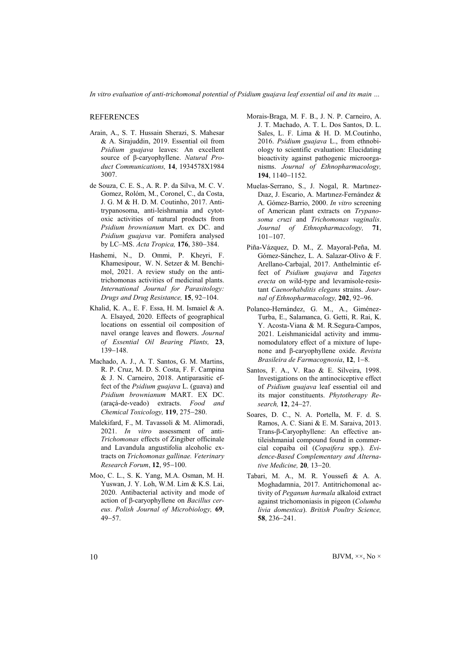*In vitro evaluation of anti-trichomonal potential of Psidium guajava leaf essential oil and its main …*

REFERENCES

- Arain, A., S. T. Hussain Sherazi, S. Mahesar & A. Sirajuddin, 2019. Essential oil from *Psidium guajava* leaves: An excellent source of β-caryophyllene. *Natural Product Communications,* 14, 1934578X1984 3007.
- de Souza, C. E. S., A. R. P. da Silva, M. C. V. Gomez, Rolóm, M., Coronel, C., da Costa, J. G. M & H. D. M. Coutinho, 2017. Antitrypanosoma, anti-leishmania and cytotoxic activities of natural products from *Psidium brownianum* Mart. ex DC. and *Psidium guajava* var. Pomifera analysed by LC–MS. *Acta Tropica*, 176, 380–384.
- Hashemi, N., D. Ommi, P. Kheyri, F. Khamesipour, W. N. Setzer & M. Benchimol, 2021. A review study on the antitrichomonas activities of medicinal plants. *International Journal for Parasitology: Drugs and Drug Resistance*, 15, 92-104.
- Khalid, K. A., E. F. Essa, H. M. Ismaiel & A. A. Elsayed, 2020. Effects of geographical locations on essential oil composition of navel orange leaves and flowers. *Journal of Essential Oil Bearing Plants,* 23, 139-148.
- Machado, A. J., A. T. Santos, G. M. Martins, R. P. Cruz, M. D. S. Costa, F. F. Campina & J. N. Carneiro, 2018. Antiparasitic effect of the *Psidium guajava* L. (guava) and *Psidium brownianum* MART. EX DC. (araçá-de-veado) extracts. *Food and Chemical Toxicology*, 119, 275-280.
- Malekifard, F., M. Tavassoli & M. Alimoradi, 2021. *In vitro* assessment of anti-*Trichomonas* effects of Zingiber officinale and Lavandula angustifolia alcoholic extracts on *Trichomonas gallinae. Veterinary Research Forum*, 12, 95-100.
- Moo, C. L., S. K. Yang, M.A. Osman, M. H. Yuswan, J. Y. Loh, W.M. Lim & K.S. Lai, 2020. Antibacterial activity and mode of action of β-caryophyllene on *Bacillus cereus*. *Polish Journal of Microbiology,* 69,  $49 - 57$
- Morais-Braga, M. F. B., J. N. P. Carneiro, A. J. T. Machado, A. T. L. Dos Santos, D. L. Sales, L. F. Lima & H. D. M.Coutinho, 2016. *Psidium guajava* L., from ethnobiology to scientific evaluation: Elucidating bioactivity against pathogenic microorganisms. *Journal of Ethnopharmacology,*  194, 1140-1152.
- Muelas-Serrano, S., J. Nogal, R. Martınez-Dıaz, J. Escario, A. Martınez-Fernández & A. Gómez-Barrio, 2000. *In vitro* screening of American plant extracts on *Trypanosoma cruzi* and *Trichomonas vaginalis*. *Journal of Ethnopharmacology,* 71,  $101 - 107$ .
- Piña-Vázquez, D. M., Z. Mayoral-Peña, M. Gómez-Sánchez, L. A. Salazar-Olivo & F. Arellano-Carbajal, 2017. Anthelmintic effect of *Psidium guajava* and *Tagetes erecta* on wild-type and levamisole-resistant *Caenorhabditis elegans* strains. *Journal of Ethnopharmacology*, 202, 92-96.
- Polanco-Hernández, G. M., A., Giménez-Turba, E., Salamanca, G. Getti, R. Rai, K. Y. Acosta-Viana & M. R.Segura-Campos, 2021. Leishmanicidal activity and immunomodulatory effect of a mixture of lupenone and β-caryophyllene oxide. *Revista Brasileira de Farmacognosia*, 12, 1-8.
- Santos, F. A., V. Rao & E. Silveira, 1998. Investigations on the antinociceptive effect of *Psidium guajava* leaf essential oil and its major constituents. *Phytotherapy Research*, 12, 24-27.
- Soares, D. C., N. A. Portella, M. F. d. S. Ramos, A. C. Siani & E. M. Saraiva, 2013. Trans-β-Caryophyllene: An effective antileishmanial compound found in commercial copaiba oil (*Copaifera* spp.). *Evidence-Based Complementary and Alternative Medicine*, **20**, 13-20.
- Tabari, M. A., M. R. Youssefi & A. A. Moghadamnia, 2017. Antitrichomonal activity of *Peganum harmala* alkaloid extract against trichomoniasis in pigeon (*Columba livia domestica*). *British Poultry Science,*  58, 236-241.